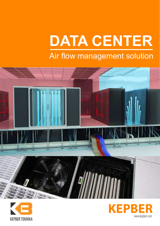# Air flow management solution **DATA CENTER**





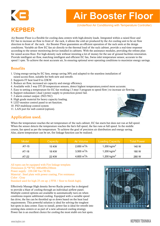(Underfloor Air Conditioning with Temperature Controller)

### **KEPBER**

KE

Air Booster Floor is a flexible for cooling data centers with high-density loads. Integrated within a raised floor and EC fan to increase air flow to front of the rack, it allows the cold air produced by the Air cooling unit to be air flow direction to front of the rack. Air Booster Floor guarantees an efficient operation of the rack units at the design conditions. Variable air flow EC fan air directly to the thermal load of the rack cabinet, provide a real-time response according to the sensor monitoring device installed in cabinets. With the assistance modules, providing the refonn plan for raised access floor. For high-density rack without investing a lot of money for the use of ground facilities renovation. Provide intelligent air flow, matching intelligent and efficient EC fan, Swiss inlet temperature sensor, accurate to the speed 1 rpm. To achieve the most accurate air, In ensuring optional sever operating conditions to maximize energy savings.

#### **Benefits**

- 1. Using energy-saving by EC fans, energy saving 30% and adapted to the seamless installation of raised access floor, suitable for both new and retrofit.
- 2. Supports IT heat load 0 to 22KW.
- 3. Reduce air flow, increased air capacity and energy efficiency.
- 4. Available with 3 way DT-20 temperature sensors, detect highest temperature,control more accurate.
- 5. Easy to setting a temperature for EC fan working ( 3 step/3 program to speed flow ) to increase air flowing.
- 6. Support redundant ( dual ) power supply to protection power fail.
- 7. 2 alarm contact output. (NO/NC)
- 8. High grade material for heavy capacity loading.
- 9. LED monitor control panel to set function.
- 10. PID multiloop control system
- 11. LAN port for web control (option).



#### **Application used.**

When the temperature reaches the set temperature of the rack cabinet, EC fan starts but does not run at full speed. When the sensor detects the temperature reaches the fan's full speed, the fan runs at full speed. In the middle course, fan speed as per the temperature. To achieve the goal of precision air distribution and energy saving. Also, alarm temperature can be set, fire linkage function can be realized.

| <b>Model</b> | Capacity     | Air Volume              | <b>Loading Capacity</b> | <b>Total Power</b> |
|--------------|--------------|-------------------------|-------------------------|--------------------|
| AT-15        | <b>15 KW</b> | 2,650 $m^3/h$           | 1,200 kg/m <sup>2</sup> | 140 W              |
| AT-18        | <b>18 KW</b> | 3,500 m <sup>3</sup> /h | 1,200 kg/m <sup>2</sup> | 180 W              |
| AT-22        | 22 KW        | 4,600 m <sup>3</sup> /h | 1,200 kg/m <sup>2</sup> | 280 W              |

All types can be equipped with Fire linkage template. Dimension [L\*W\*H]: 600x600x230mm Power supply : 220-240 Vac/50 Hz. Material : Steel plate with power coating, Fire resistance Color : Gray Standard used for high 25 cm up. ( FFH / floor to finish high).

Effectively Manage High density Server Racks power fan is designed to provide a blast of cooling through an individual airflow panel. Multiple control options are available to automatically turn on when conditions require additional cooling. Equipped with a variable speed fan drive, the fan can be throttled up or down based on the heat load requirements. This powerful solution is ideal for solving the toughest hot spots in data center. Easy to install, power fan is ideal for retrofit into existing data centers or as part of a new advanced cooling strategy. Power fan is an excellent choice for cooling the most stubb orn hot spots.

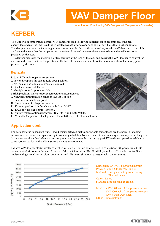## KE

## **VAV Damper Floor**

(Underfloor Air Conditioning VAV Damper withTemperature Controller)

### **KEPBER**

The Underfloor temperature control VAV damper is used to Provide sufficient air to accommodate the peal energy demands of the rack.resulting in wasted bypass air and over-cooling during all less than peal conditions. The damper measures the incoming air temperatures at the face of the rack and adjusts the VAV damper to control the air flow and ensure thet the temperature at the face of the rack is never above the maximum allowable set point provided by the user.

The damper measures the incoming air temperature at the face of the rack and adjusts the VAV damper to control the air flow and ensure that the temperature at the face of the rack is never above the maximum allowable setting point provided by the user.

#### **Benefits**

- 1. With PID multiloop control system.
- 2. Power disruption fail safe to fully open position.
- 3. No regularly schedule maintenance required.
- 4. Quick and easy installation.
- 5. Multiple control options available.
- 6 High precision, Quick response temperature measurement.
- 7. Network communication function (RS485). option
- 8. User programmable ser point.
- 10. 8 van damper for larger open area.
- 11. Damper position is infinitely variable from 0-100%.
- 12. LAN port for web control (option).
- 13. Supply voltage optional between 110V/60Hz and 220V/50Hz.
- 11. Viewable temperature display screen for walkthrough check of each rack.

#### **Application used.**

The data center is in constant flux. Load diversity between racks and variable server loads are the norm. Managing airflow into the data center space is key to Achiving reliability. New demands to reduce energy consumption in the green data center require a fine balance to ensure proper air flow to each rack during peak IT hardware operation, while not cover-cooling partial load and idel states a diverse environment.

Fuhua's VAV damper electronically controlled variable air volime damper used in conjuction with power fan adjusts the amount of air to meet the specific needs of the rack it services. This Flexibility can help effectively cool facilities implementing virtualization, cloud computing and idle server shutdown strategies with saving energy.



Dimension [L\*W\*H] : 600x600x230mm Power supply : 220-240 Vac/50 Hz. Material : Steel plate with power coating, Fire resistance. Color : Black. Standard used for high 25 cm up.

Model : VAV-100T with 1 temperature sensor. VAV-200T with 2 temperature sensor. VAV-F with Dust filter. Other : up to customer.